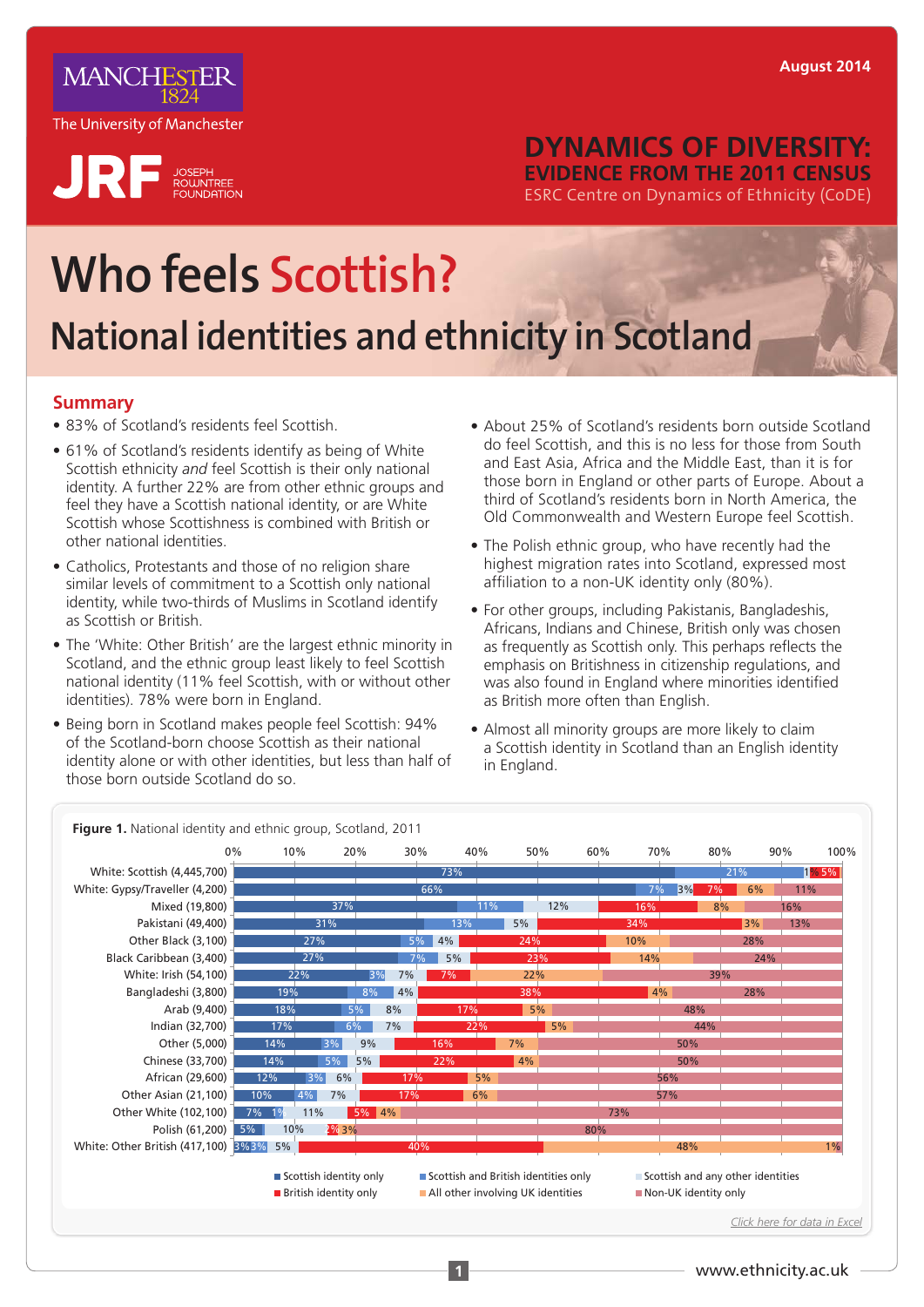

 $\mathbf{R}$  F  $_{\text{EQUNTER}}$ 

### **DYNAMICS OF DIVERSITY: EVIDENCE FROM THE 2011 CENSUS**  ESRC Centre on Dynamics of Ethnicity (CoDE)

# **Who feels Scottish? National identities and ethnicity in Scotland**

#### **Summary**

- 83% of Scotland's residents feel Scottish.
- 61% of Scotland's residents identify as being of White Scottish ethnicity *and* feel Scottish is their only national identity. A further 22% are from other ethnic groups and feel they have a Scottish national identity, or are White Scottish whose Scottishness is combined with British or other national identities.
- Catholics, Protestants and those of no religion share similar levels of commitment to a Scottish only national identity, while two-thirds of Muslims in Scotland identify as Scottish or British.
- The 'White: Other British' are the largest ethnic minority in Scotland, and the ethnic group least likely to feel Scottish national identity (11% feel Scottish, with or without other identities). 78% were born in England.
- Being born in Scotland makes people feel Scottish: 94% of the Scotland-born choose Scottish as their national identity alone or with other identities, but less than half of those born outside Scotland do so.
- About 25% of Scotland's residents born outside Scotland do feel Scottish, and this is no less for those from South and East Asia, Africa and the Middle East, than it is for those born in England or other parts of Europe. About a third of Scotland's residents born in North America, the Old Commonwealth and Western Europe feel Scottish.
- The Polish ethnic group, who have recently had the highest migration rates into Scotland, expressed most affiliation to a non-UK identity only (80%).
- For other groups, including Pakistanis, Bangladeshis, Africans, Indians and Chinese, British only was chosen as frequently as Scottish only. This perhaps reflects the emphasis on Britishness in citizenship regulations, and was also found in England where minorities identified as British more often than English.
- Almost all minority groups are more likely to claim a Scottish identity in Scotland than an English identity in England.

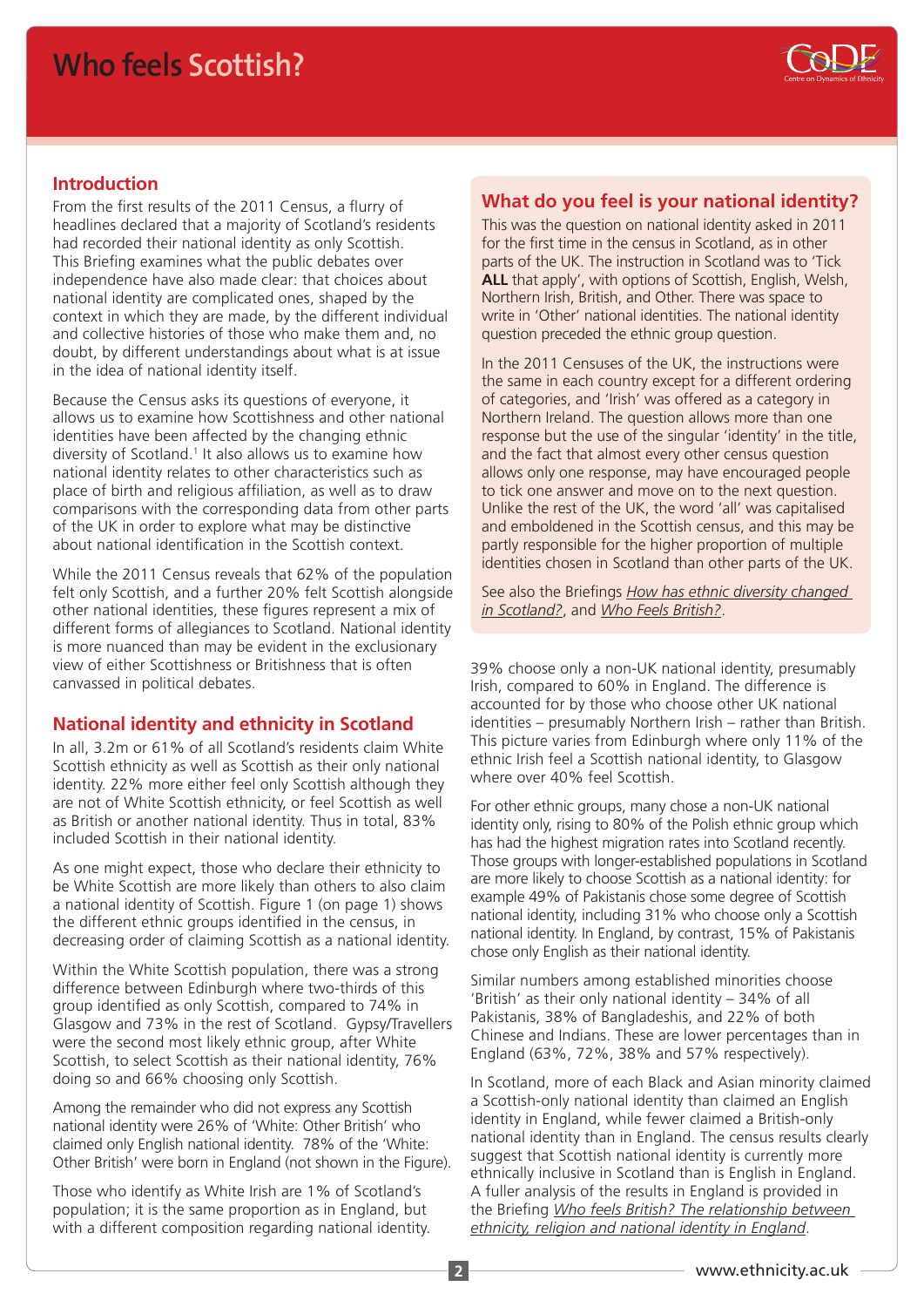### **Who feels Scottish?**



#### **Introduction**

From the first results of the 2011 Census, a flurry of headlines declared that a majority of Scotland's residents had recorded their national identity as only Scottish. This Briefing examines what the public debates over independence have also made clear: that choices about national identity are complicated ones, shaped by the context in which they are made, by the different individual and collective histories of those who make them and, no doubt, by different understandings about what is at issue in the idea of national identity itself.

Because the Census asks its questions of everyone, it allows us to examine how Scottishness and other national identities have been affected by the changing ethnic diversity of Scotland.<sup>1</sup> It also allows us to examine how national identity relates to other characteristics such as place of birth and religious affiliation, as well as to draw comparisons with the corresponding data from other parts of the UK in order to explore what may be distinctive about national identification in the Scottish context.

While the 2011 Census reveals that 62% of the population felt only Scottish, and a further 20% felt Scottish alongside other national identities, these figures represent a mix of different forms of allegiances to Scotland. National identity is more nuanced than may be evident in the exclusionary view of either Scottishness or Britishness that is often canvassed in political debates.

#### **National identity and ethnicity in Scotland**

In all, 3.2m or 61% of all Scotland's residents claim White Scottish ethnicity as well as Scottish as their only national identity. 22% more either feel only Scottish although they are not of White Scottish ethnicity, or feel Scottish as well as British or another national identity. Thus in total, 83% included Scottish in their national identity.

As one might expect, those who declare their ethnicity to be White Scottish are more likely than others to also claim a national identity of Scottish. Figure 1 (on page 1) shows the different ethnic groups identified in the census, in decreasing order of claiming Scottish as a national identity.

Within the White Scottish population, there was a strong difference between Edinburgh where two-thirds of this group identified as only Scottish, compared to 74% in Glasgow and 73% in the rest of Scotland. Gypsy/Travellers were the second most likely ethnic group, after White Scottish, to select Scottish as their national identity, 76% doing so and 66% choosing only Scottish.

Among the remainder who did not express any Scottish national identity were 26% of 'White: Other British' who claimed only English national identity. 78% of the 'White: Other British' were born in England (not shown in the Figure).

Those who identify as White Irish are 1% of Scotland's population; it is the same proportion as in England, but with a different composition regarding national identity.

#### **What do you feel is your national identity?**

This was the question on national identity asked in 2011 for the first time in the census in Scotland, as in other parts of the UK. The instruction in Scotland was to 'Tick **ALL** that apply', with options of Scottish, English, Welsh, Northern Irish, British, and Other. There was space to write in 'Other' national identities. The national identity question preceded the ethnic group question.

In the 2011 Censuses of the UK, the instructions were the same in each country except for a different ordering of categories, and 'Irish' was offered as a category in Northern Ireland. The question allows more than one response but the use of the singular 'identity' in the title, and the fact that almost every other census question allows only one response, may have encouraged people to tick one answer and move on to the next question. Unlike the rest of the UK, the word 'all' was capitalised and emboldened in the Scottish census, and this may be partly responsible for the higher proportion of multiple identities chosen in Scotland than other parts of the UK.

See also the Briefings *[How has ethnic diversity changed](http://www.ethnicity.ac.uk/medialibrary/briefings/dynamicsofdiversity/code-census-briefing-scotland_v2.pdf)  [in Scotland?](http://www.ethnicity.ac.uk/medialibrary/briefings/dynamicsofdiversity/code-census-briefing-scotland_v2.pdf)*, and *[Who Feels British?](http://www.ethnicity.ac.uk/medialibrary/briefingsupdated/who-feels-british.pdf)*.

39% choose only a non-UK national identity, presumably Irish, compared to 60% in England. The difference is accounted for by those who choose other UK national identities – presumably Northern Irish – rather than British. This picture varies from Edinburgh where only 11% of the ethnic Irish feel a Scottish national identity, to Glasgow where over 40% feel Scottish.

For other ethnic groups, many chose a non-UK national identity only, rising to 80% of the Polish ethnic group which has had the highest migration rates into Scotland recently. Those groups with longer-established populations in Scotland are more likely to choose Scottish as a national identity: for example 49% of Pakistanis chose some degree of Scottish national identity, including 31% who choose only a Scottish national identity. In England, by contrast, 15% of Pakistanis chose only English as their national identity.

Similar numbers among established minorities choose 'British' as their only national identity – 34% of all Pakistanis, 38% of Bangladeshis, and 22% of both Chinese and Indians. These are lower percentages than in England (63%, 72%, 38% and 57% respectively).

In Scotland, more of each Black and Asian minority claimed a Scottish-only national identity than claimed an English identity in England, while fewer claimed a British-only national identity than in England. The census results clearly suggest that Scottish national identity is currently more ethnically inclusive in Scotland than is English in England. A fuller analysis of the results in England is provided in the Briefing *[Who feels British? The relationship between](http://www.ethnicity.ac.uk/medialibrary/briefingsupdated/who-feels-british.pdf)  [ethnicity, religion and national identity in England](http://www.ethnicity.ac.uk/medialibrary/briefingsupdated/who-feels-british.pdf)*.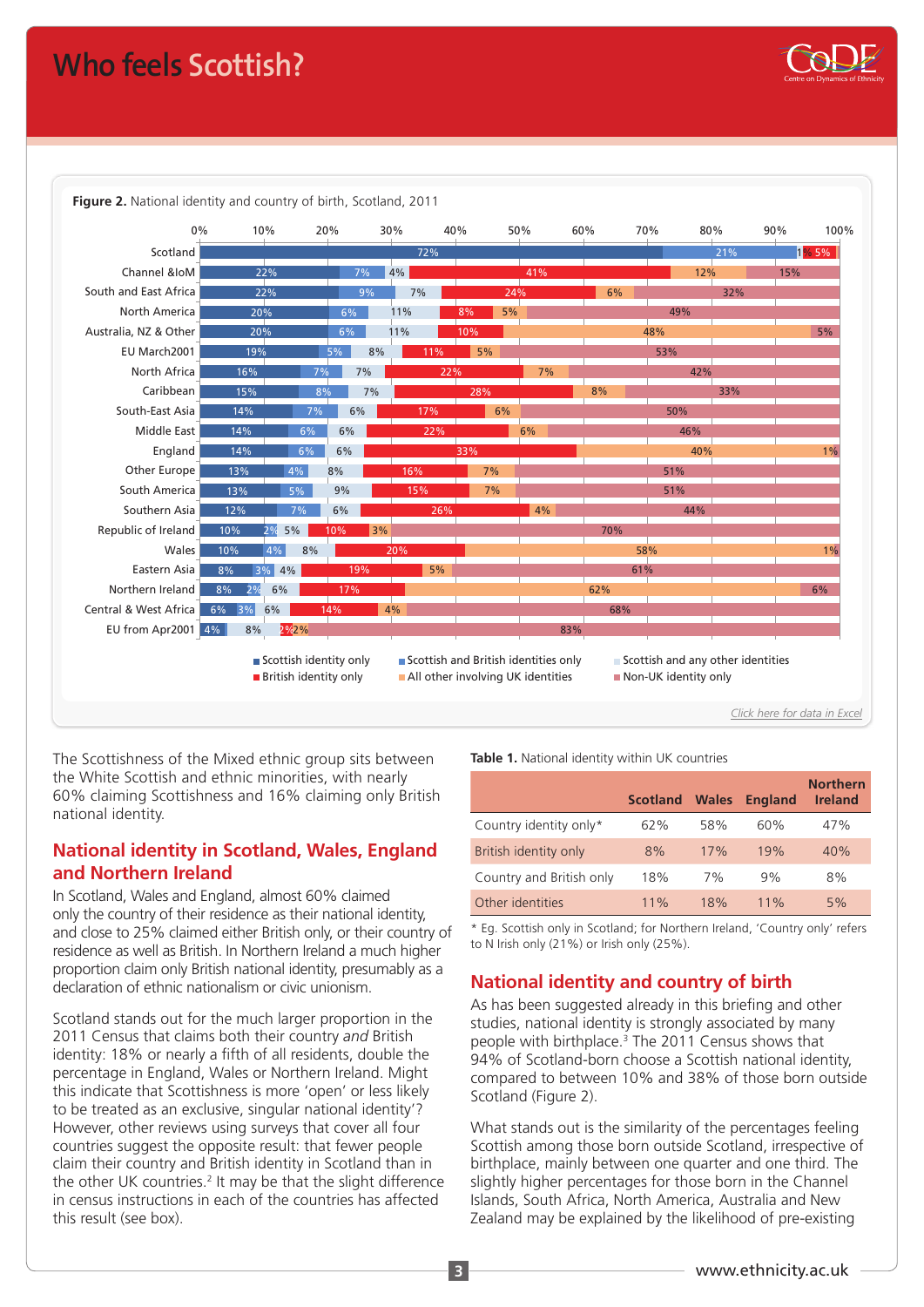## **Who feels Scottish?**



The Scottishness of the Mixed ethnic group sits between the White Scottish and ethnic minorities, with nearly 60% claiming Scottishness and 16% claiming only British national identity.

#### **National identity in Scotland, Wales, England and Northern Ireland**

In Scotland, Wales and England, almost 60% claimed only the country of their residence as their national identity, and close to 25% claimed either British only, or their country of residence as well as British. In Northern Ireland a much higher proportion claim only British national identity, presumably as a declaration of ethnic nationalism or civic unionism.

Scotland stands out for the much larger proportion in the 2011 Census that claims both their country *and* British identity: 18% or nearly a fifth of all residents, double the percentage in England, Wales or Northern Ireland. Might this indicate that Scottishness is more 'open' or less likely to be treated as an exclusive, singular national identity'? However, other reviews using surveys that cover all four countries suggest the opposite result: that fewer people claim their country and British identity in Scotland than in the other UK countries.<sup>2</sup> It may be that the slight difference in census instructions in each of the countries has affected this result (see box).

**Table 1.** National identity within UK countries

|                          | <b>Scotland</b> | <b>Wales</b> | <b>England</b> | <b>Northern</b><br><b>Ireland</b> |
|--------------------------|-----------------|--------------|----------------|-----------------------------------|
| Country identity only*   | 62%             | 58%          | 60%            | 47%                               |
| British identity only    | 8%              | 17%          | 19%            | 40%                               |
| Country and British only | 18%             | 7%           | 9%             | 8%                                |
| Other identities         | 11%             | 18%          | 11%            | 5%                                |

\* Eg. Scottish only in Scotland; for Northern Ireland, 'Country only' refers to N Irish only (21%) or Irish only (25%).

#### **National identity and country of birth**

As has been suggested already in this briefing and other studies, national identity is strongly associated by many people with birthplace.<sup>3</sup> The 2011 Census shows that 94% of Scotland-born choose a Scottish national identity, compared to between 10% and 38% of those born outside Scotland (Figure 2).

What stands out is the similarity of the percentages feeling Scottish among those born outside Scotland, irrespective of birthplace, mainly between one quarter and one third. The slightly higher percentages for those born in the Channel Islands, South Africa, North America, Australia and New Zealand may be explained by the likelihood of pre-existing